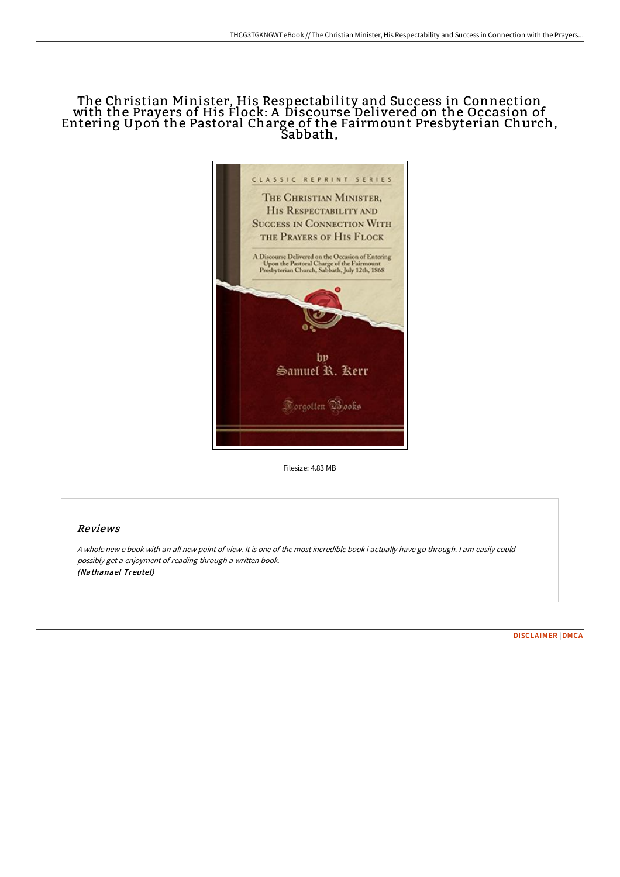## The Christian Minister, His Respectability and Success in Connection with the Prayers of His Flock: A Discourse Delivered on the Occasion of Entering Upon the Pastoral Charge of the Fairmount Presbyterian Church, Sabbath,



Filesize: 4.83 MB

## Reviews

<sup>A</sup> whole new <sup>e</sup> book with an all new point of view. It is one of the most incredible book i actually have go through. <sup>I</sup> am easily could possibly get <sup>a</sup> enjoyment of reading through <sup>a</sup> written book. (Nathanael Treutel)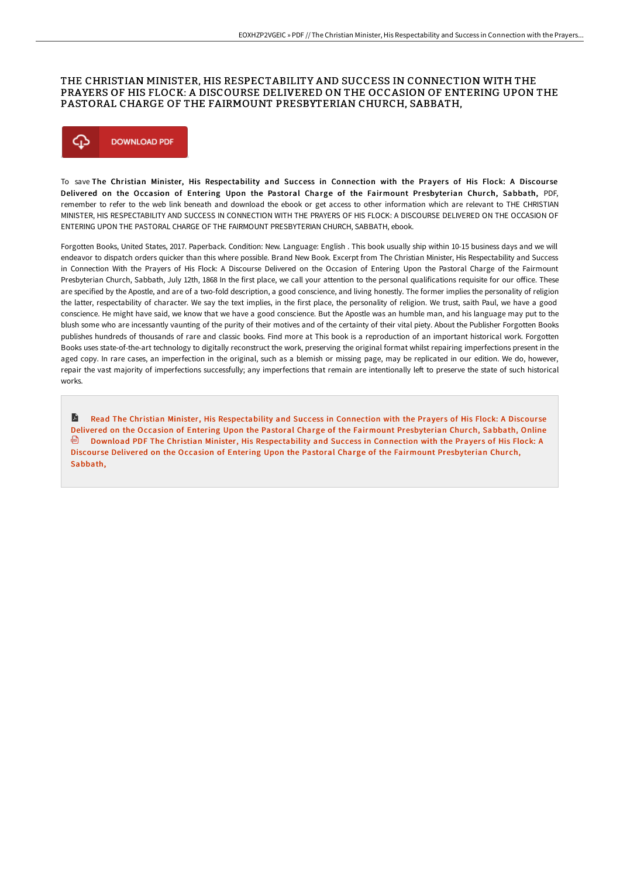## THE CHRISTIAN MINISTER, HIS RESPECTABILITY AND SUCCESS IN CONNECTION WITH THE PRAYERS OF HIS FLOCK: A DISCOURSE DELIVERED ON THE OCCASION OF ENTERING UPON THE PASTORAL CHARGE OF THE FAIRMOUNT PRESBYTERIAN CHURCH, SABBATH,



To save The Christian Minister, His Respectability and Success in Connection with the Prayers of His Flock: A Discourse Delivered on the Occasion of Entering Upon the Pastoral Charge of the Fairmount Presbyterian Church, Sabbath, PDF, remember to refer to the web link beneath and download the ebook or get access to other information which are relevant to THE CHRISTIAN MINISTER, HIS RESPECTABILITY AND SUCCESS IN CONNECTION WITH THE PRAYERS OF HIS FLOCK: A DISCOURSE DELIVERED ON THE OCCASION OF ENTERING UPON THE PASTORAL CHARGE OF THE FAIRMOUNT PRESBYTERIAN CHURCH, SABBATH, ebook.

Forgotten Books, United States, 2017. Paperback. Condition: New. Language: English . This book usually ship within 10-15 business days and we will endeavor to dispatch orders quicker than this where possible. Brand New Book. Excerpt from The Christian Minister, His Respectability and Success in Connection With the Prayers of His Flock: A Discourse Delivered on the Occasion of Entering Upon the Pastoral Charge of the Fairmount Presbyterian Church, Sabbath, July 12th, 1868 In the first place, we call your attention to the personal qualifications requisite for our office. These are specified by the Apostle, and are of a two-fold description, a good conscience, and living honestly. The former implies the personality of religion the latter, respectability of character. We say the text implies, in the first place, the personality of religion. We trust, saith Paul, we have a good conscience. He might have said, we know that we have a good conscience. But the Apostle was an humble man, and his language may put to the blush some who are incessantly vaunting of the purity of their motives and of the certainty of their vital piety. About the Publisher Forgotten Books publishes hundreds of thousands of rare and classic books. Find more at This book is a reproduction of an important historical work. Forgotten Books uses state-of-the-art technology to digitally reconstruct the work, preserving the original format whilst repairing imperfections present in the aged copy. In rare cases, an imperfection in the original, such as a blemish or missing page, may be replicated in our edition. We do, however, repair the vast majority of imperfections successfully; any imperfections that remain are intentionally left to preserve the state of such historical works.

A Read The Christian Minister, His [Respectability](http://albedo.media/the-christian-minister-his-respectability-and-su.html) and Success in Connection with the Prayers of His Flock: A Discourse Delivered on the Occasion of Entering Upon the Pastoral Charge of the Fairmount Presbyterian Church, Sabbath, Online **Download PDF The Christian Minister, His [Respectability](http://albedo.media/the-christian-minister-his-respectability-and-su.html) and Success in Connection with the Prayers of His Flock: A** Discourse Delivered on the Occasion of Entering Upon the Pastoral Charge of the Fairmount Presbyterian Church, Sabbath,